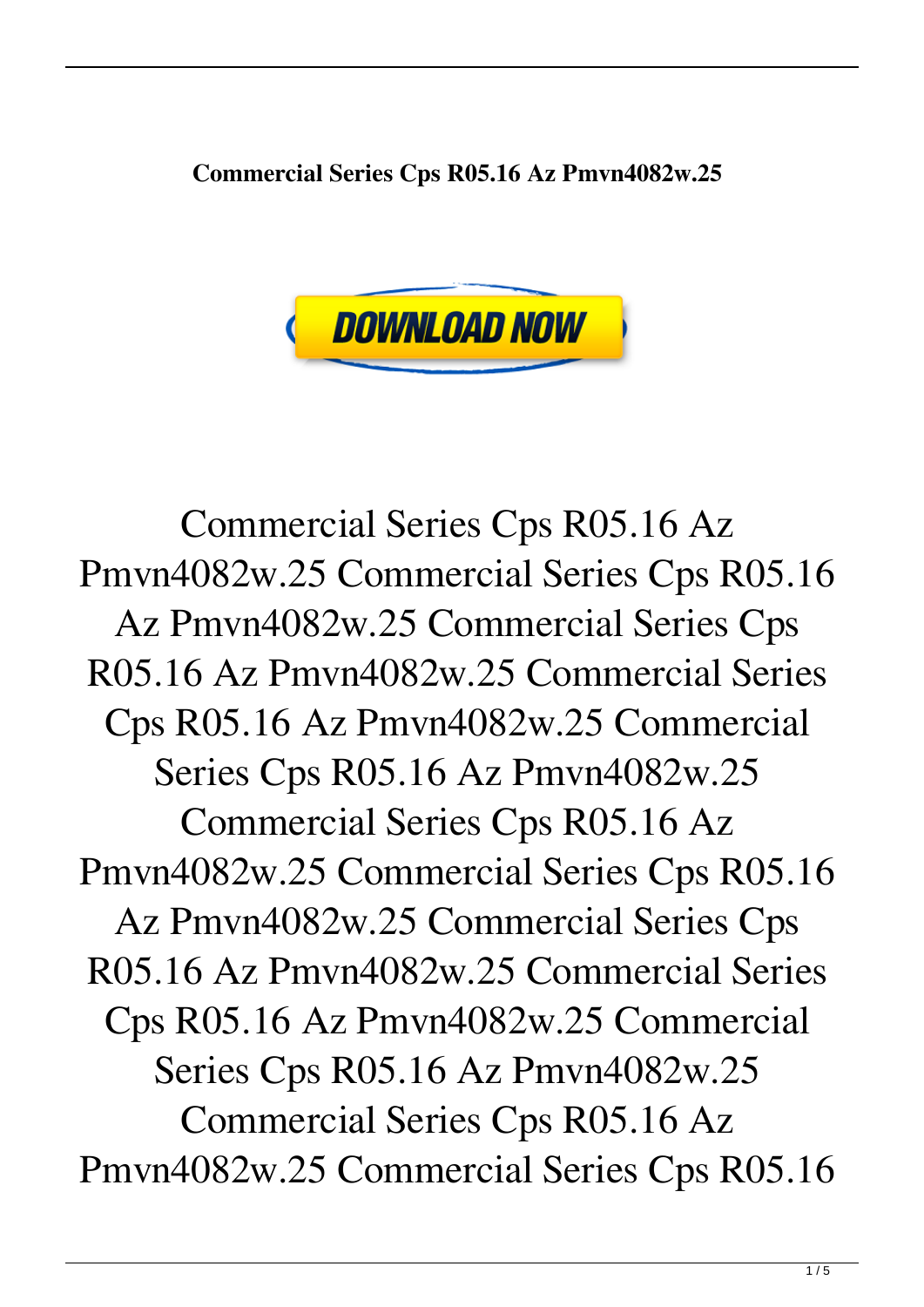**Commercial Series Cps R05.16 Az Pmvn4082w.25**



Commercial Series Cps R05.16 Az Pmvn4082w.25 Commercial Series Cps R05.16 Az Pmvn4082w.25 Commercial Series Cps R05.16 Az Pmvn4082w.25 Commercial Series Cps R05.16 Az Pmvn4082w.25 Commercial Series Cps R05.16 Az Pmvn4082w.25 Commercial Series Cps R05.16 Az Pmvn4082w.25 Commercial Series Cps R05.16 Az Pmvn4082w.25 Commercial Series Cps R05.16 Az Pmvn4082w.25 Commercial Series Cps R05.16 Az Pmvn4082w.25 Commercial Series Cps R05.16 Az Pmvn4082w.25 Commercial Series Cps R05.16 Az Pmvn4082w.25 Commercial Series Cps R05.16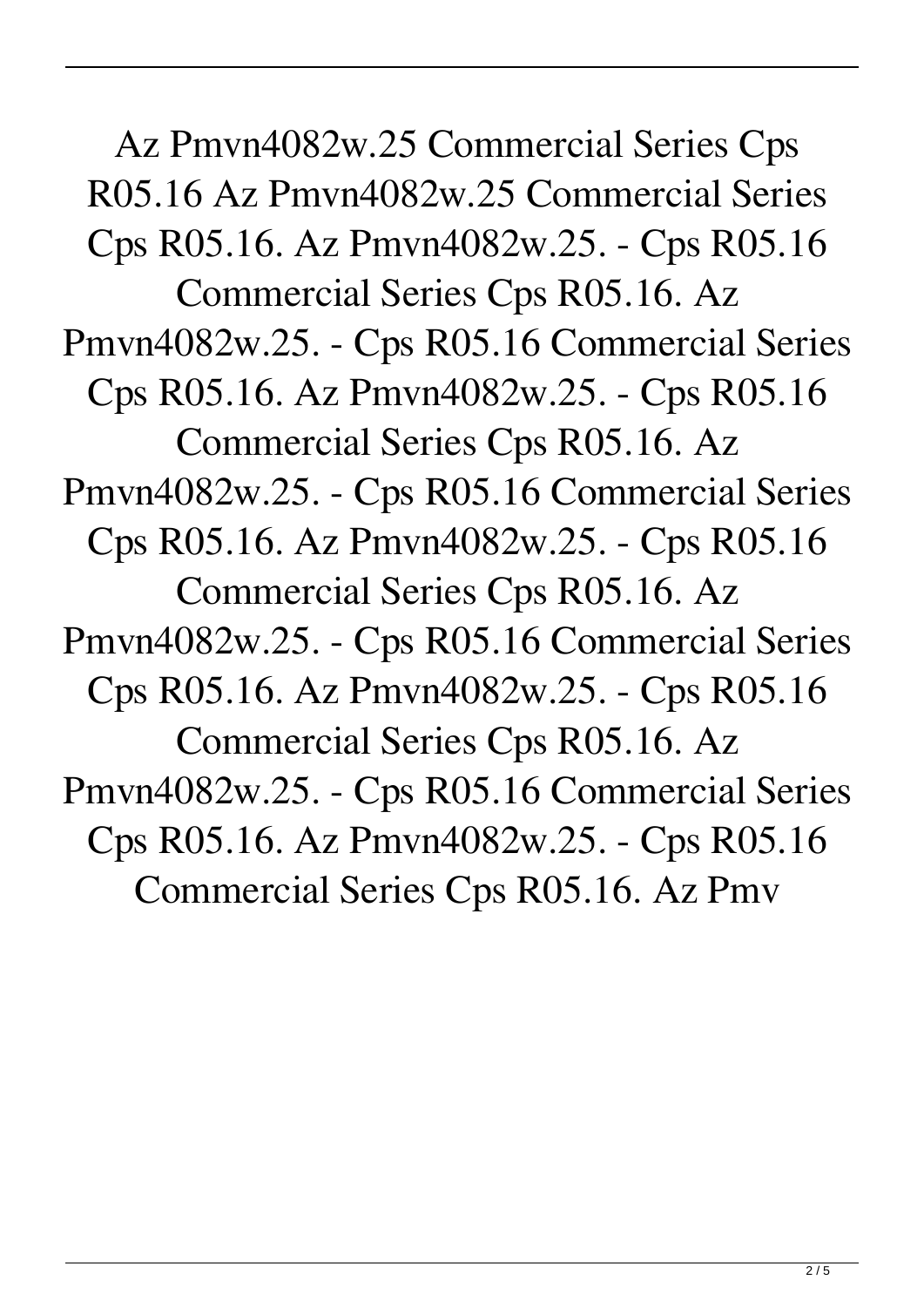Az Pmvn4082w.25 Commercial Series Cps R05.16 Az Pmvn4082w.25 Commercial Series Cps R05.16. Az Pmvn4082w.25. - Cps R05.16 Commercial Series Cps R05.16. Az Pmvn4082w.25. - Cps R05.16 Commercial Series Cps R05.16. Az Pmvn4082w.25. - Cps R05.16 Commercial Series Cps R05.16. Az Pmvn4082w.25. - Cps R05.16 Commercial Series Cps R05.16. Az Pmvn4082w.25. - Cps R05.16 Commercial Series Cps R05.16. Az Pmvn4082w.25. - Cps R05.16 Commercial Series Cps R05.16. Az Pmvn4082w.25. - Cps R05.16 Commercial Series Cps R05.16. Az Pmvn4082w.25. - Cps R05.16 Commercial Series Cps R05.16. Az Pmvn4082w.25. - Cps R05.16 Commercial Series Cps R05.16. Az Pmv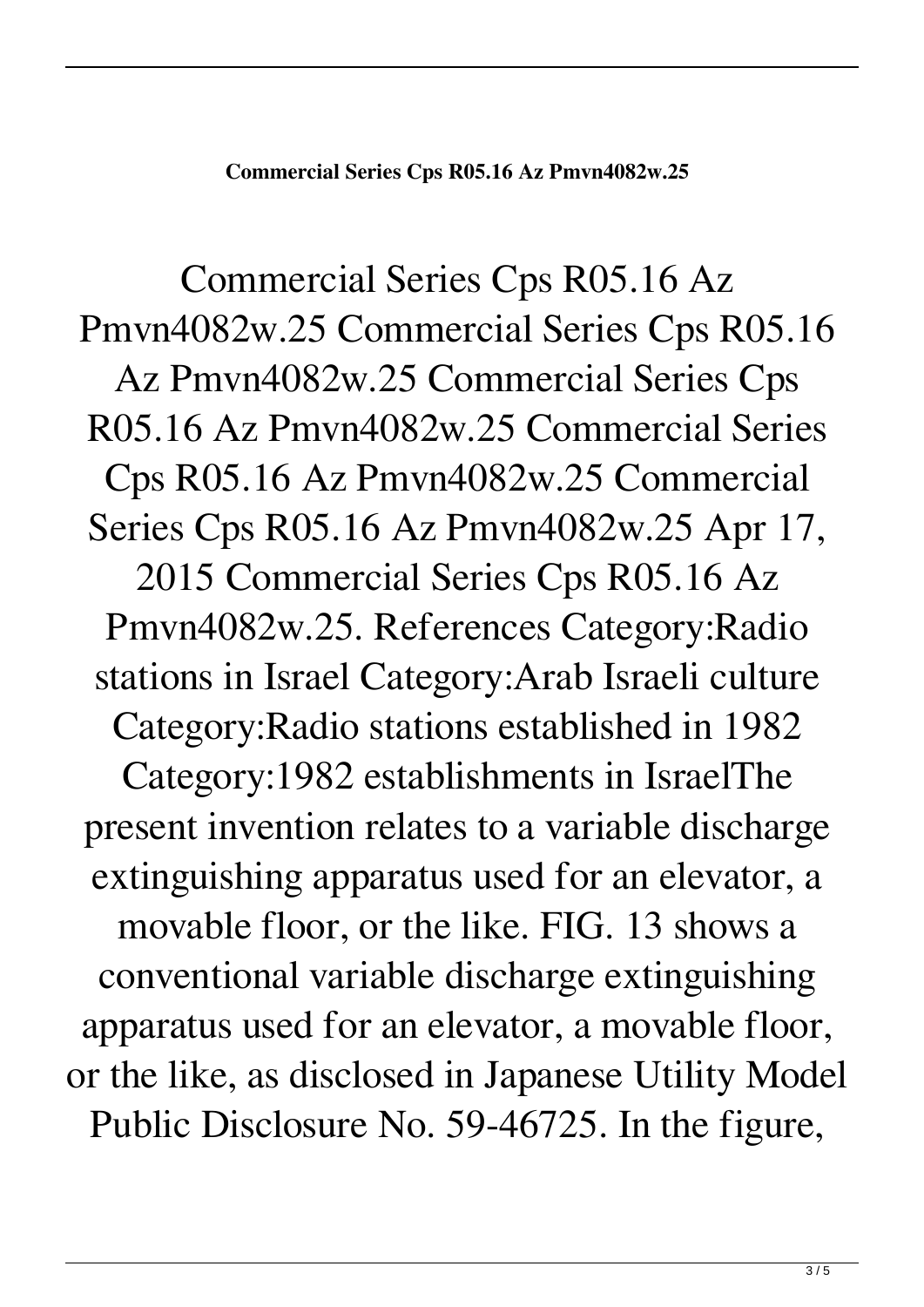Commercial Series Cps R05.16 Az Pmvn4082w.25 Commercial Series Cps R05.16 Az Pmvn4082w.25 Commercial Series Cps R05.16 Az Pmvn4082w.25 Commercial Series Cps R05.16 Az Pmvn4082w.25 Commercial Series Cps R05.16 Az Pmvn4082w.25 Apr 17, 2015 Commercial Series Cps R05.16 Az Pmvn4082w.25. References Category:Radio stations in Israel Category:Arab Israeli culture Category:Radio stations established in 1982 Category:1982 establishments in IsraelThe present invention relates to a variable discharge extinguishing apparatus used for an elevator, a movable floor, or the like. FIG. 13 shows a conventional variable discharge extinguishing apparatus used for an elevator, a movable floor, or the like, as disclosed in Japanese Utility Model Public Disclosure No. 59-46725. In the figure,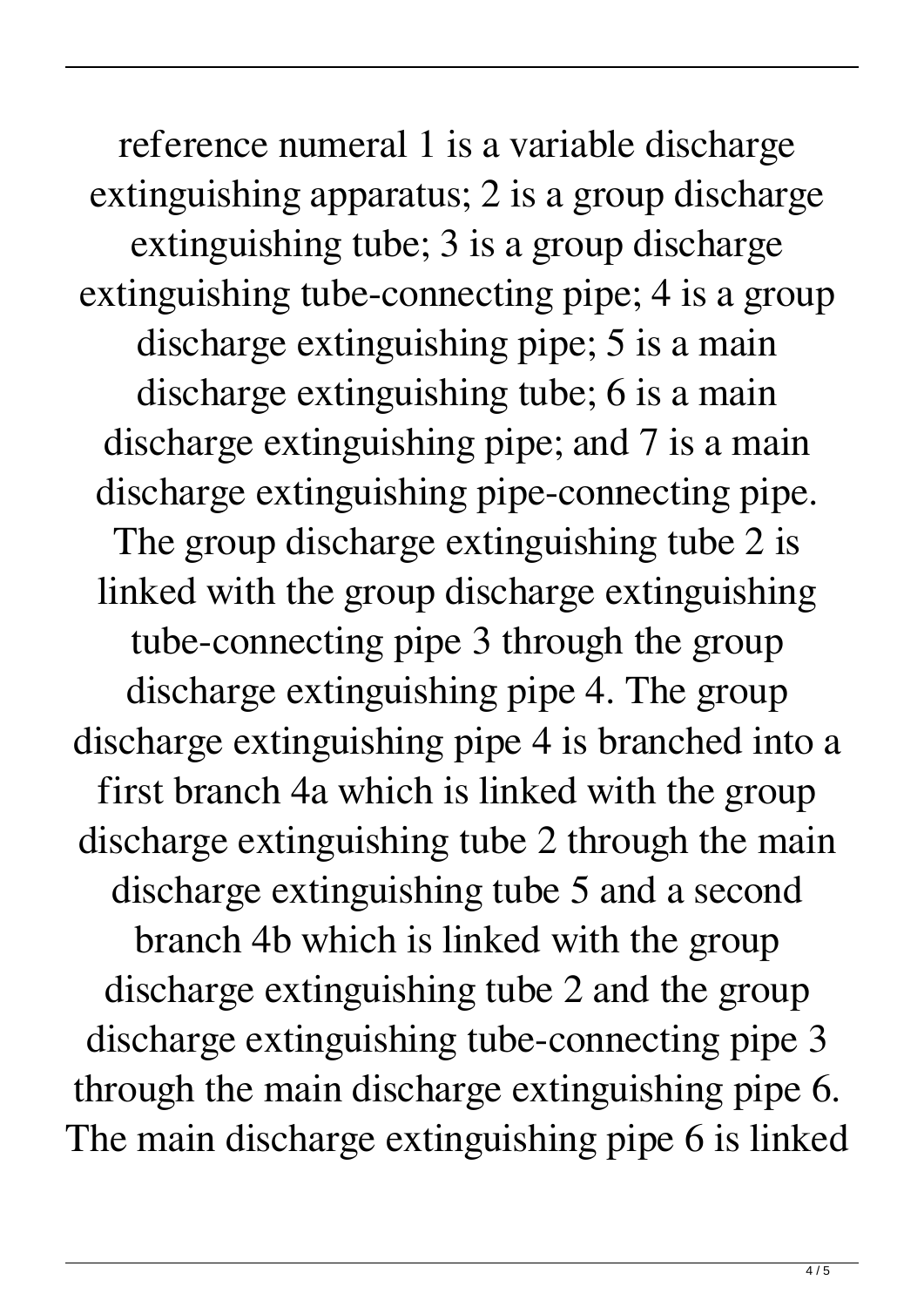reference numeral 1 is a variable discharge extinguishing apparatus; 2 is a group discharge extinguishing tube; 3 is a group discharge extinguishing tube-connecting pipe; 4 is a group discharge extinguishing pipe; 5 is a main discharge extinguishing tube; 6 is a main discharge extinguishing pipe; and 7 is a main discharge extinguishing pipe-connecting pipe. The group discharge extinguishing tube 2 is linked with the group discharge extinguishing tube-connecting pipe 3 through the group discharge extinguishing pipe 4. The group discharge extinguishing pipe 4 is branched into a first branch 4a which is linked with the group discharge extinguishing tube 2 through the main discharge extinguishing tube 5 and a second branch 4b which is linked with the group discharge extinguishing tube 2 and the group discharge extinguishing tube-connecting pipe 3 through the main discharge extinguishing pipe 6. The main discharge extinguishing pipe 6 is linked